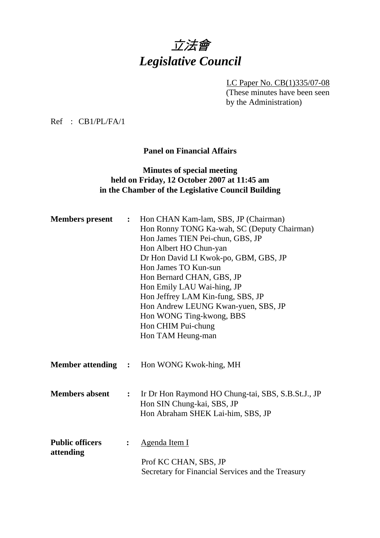# 立法會 *Legislative Council*

LC Paper No. CB(1)335/07-08 (These minutes have been seen by the Administration)

Ref : CB1/PL/FA/1

**Panel on Financial Affairs** 

## **Minutes of special meeting held on Friday, 12 October 2007 at 11:45 am in the Chamber of the Legislative Council Building**

| <b>Members</b> present              | $\ddot{\cdot}$ | Hon CHAN Kam-lam, SBS, JP (Chairman)<br>Hon Ronny TONG Ka-wah, SC (Deputy Chairman)<br>Hon James TIEN Pei-chun, GBS, JP<br>Hon Albert HO Chun-yan<br>Dr Hon David LI Kwok-po, GBM, GBS, JP<br>Hon James TO Kun-sun<br>Hon Bernard CHAN, GBS, JP<br>Hon Emily LAU Wai-hing, JP<br>Hon Jeffrey LAM Kin-fung, SBS, JP<br>Hon Andrew LEUNG Kwan-yuen, SBS, JP<br>Hon WONG Ting-kwong, BBS<br>Hon CHIM Pui-chung<br>Hon TAM Heung-man |
|-------------------------------------|----------------|----------------------------------------------------------------------------------------------------------------------------------------------------------------------------------------------------------------------------------------------------------------------------------------------------------------------------------------------------------------------------------------------------------------------------------|
| <b>Member attending :</b>           |                | Hon WONG Kwok-hing, MH                                                                                                                                                                                                                                                                                                                                                                                                           |
| <b>Members absent</b>               | $\ddot{\cdot}$ | Ir Dr Hon Raymond HO Chung-tai, SBS, S.B.St.J., JP<br>Hon SIN Chung-kai, SBS, JP<br>Hon Abraham SHEK Lai-him, SBS, JP                                                                                                                                                                                                                                                                                                            |
| <b>Public officers</b><br>attending | :              | Agenda Item I<br>Prof KC CHAN, SBS, JP<br>Secretary for Financial Services and the Treasury                                                                                                                                                                                                                                                                                                                                      |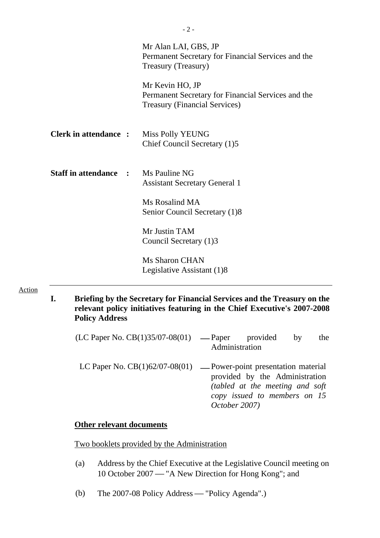|                                            | Mr Alan LAI, GBS, JP<br>Permanent Secretary for Financial Services and the<br>Treasury (Treasury)             |
|--------------------------------------------|---------------------------------------------------------------------------------------------------------------|
|                                            | Mr Kevin HO, JP<br>Permanent Secretary for Financial Services and the<br><b>Treasury (Financial Services)</b> |
| <b>Clerk in attendance:</b>                | Miss Polly YEUNG<br>Chief Council Secretary (1)5                                                              |
| <b>Staff in attendance : Ms Pauline NG</b> | <b>Assistant Secretary General 1</b>                                                                          |
|                                            | Ms Rosalind MA<br>Senior Council Secretary (1)8                                                               |
|                                            | Mr Justin TAM<br>Council Secretary (1)3                                                                       |
|                                            | Ms Sharon CHAN<br>Legislative Assistant (1)8                                                                  |

Action

**I. Briefing by the Secretary for Financial Services and the Treasury on the relevant policy initiatives featuring in the Chief Executive's 2007-2008 Policy Address** 

| $(LC$ Paper No. $CB(1)35/07-08(01)$ — Paper provided | Administration                                                                                                                                                                             |  | by | the |
|------------------------------------------------------|--------------------------------------------------------------------------------------------------------------------------------------------------------------------------------------------|--|----|-----|
|                                                      | LC Paper No. $CB(1)62/07-08(01)$ — Power-point presentation material<br>provided by the Administration<br>(tabled at the meeting and soft<br>copy issued to members on 15<br>October 2007) |  |    |     |

# **Other relevant documents**

Two booklets provided by the Administration

- (a) Address by the Chief Executive at the Legislative Council meeting on 10 October 2007 — "A New Direction for Hong Kong"; and
- (b) The 2007-08 Policy Address "Policy Agenda".)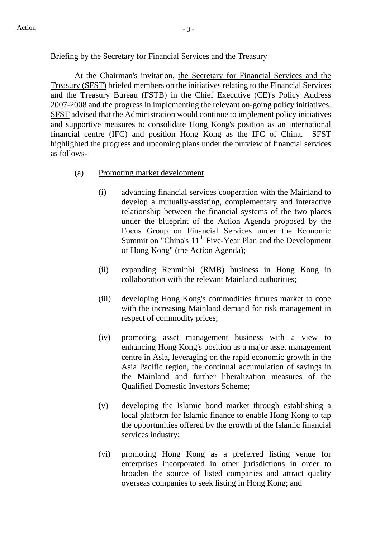#### Briefing by the Secretary for Financial Services and the Treasury

 At the Chairman's invitation, the Secretary for Financial Services and the Treasury (SFST) briefed members on the initiatives relating to the Financial Services and the Treasury Bureau (FSTB) in the Chief Executive (CE)'s Policy Address 2007-2008 and the progress in implementing the relevant on-going policy initiatives. SFST advised that the Administration would continue to implement policy initiatives and supportive measures to consolidate Hong Kong's position as an international financial centre (IFC) and position Hong Kong as the IFC of China. SFST highlighted the progress and upcoming plans under the purview of financial services as follows-

#### (a) Promoting market development

- (i) advancing financial services cooperation with the Mainland to develop a mutually-assisting, complementary and interactive relationship between the financial systems of the two places under the blueprint of the Action Agenda proposed by the Focus Group on Financial Services under the Economic Summit on "China's 11<sup>th</sup> Five-Year Plan and the Development of Hong Kong" (the Action Agenda);
- (ii) expanding Renminbi (RMB) business in Hong Kong in collaboration with the relevant Mainland authorities;
- (iii) developing Hong Kong's commodities futures market to cope with the increasing Mainland demand for risk management in respect of commodity prices;
- (iv) promoting asset management business with a view to enhancing Hong Kong's position as a major asset management centre in Asia, leveraging on the rapid economic growth in the Asia Pacific region, the continual accumulation of savings in the Mainland and further liberalization measures of the Qualified Domestic Investors Scheme;
- (v) developing the Islamic bond market through establishing a local platform for Islamic finance to enable Hong Kong to tap the opportunities offered by the growth of the Islamic financial services industry;
- (vi) promoting Hong Kong as a preferred listing venue for enterprises incorporated in other jurisdictions in order to broaden the source of listed companies and attract quality overseas companies to seek listing in Hong Kong; and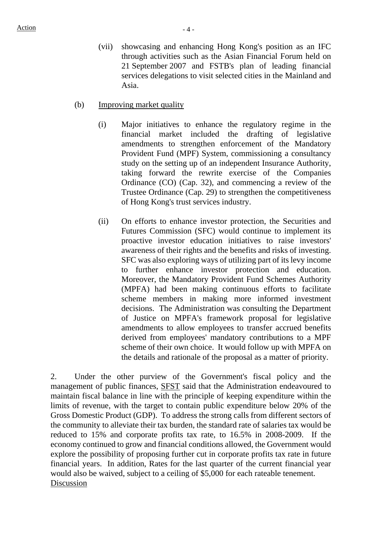- (vii) showcasing and enhancing Hong Kong's position as an IFC through activities such as the Asian Financial Forum held on 21 September 2007 and FSTB's plan of leading financial services delegations to visit selected cities in the Mainland and Asia.
- (b) Improving market quality
	- (i) Major initiatives to enhance the regulatory regime in the financial market included the drafting of legislative amendments to strengthen enforcement of the Mandatory Provident Fund (MPF) System, commissioning a consultancy study on the setting up of an independent Insurance Authority, taking forward the rewrite exercise of the Companies Ordinance (CO) (Cap. 32), and commencing a review of the Trustee Ordinance (Cap. 29) to strengthen the competitiveness of Hong Kong's trust services industry.
	- (ii) On efforts to enhance investor protection, the Securities and Futures Commission (SFC) would continue to implement its proactive investor education initiatives to raise investors' awareness of their rights and the benefits and risks of investing. SFC was also exploring ways of utilizing part of its levy income to further enhance investor protection and education. Moreover, the Mandatory Provident Fund Schemes Authority (MPFA) had been making continuous efforts to facilitate scheme members in making more informed investment decisions. The Administration was consulting the Department of Justice on MPFA's framework proposal for legislative amendments to allow employees to transfer accrued benefits derived from employees' mandatory contributions to a MPF scheme of their own choice. It would follow up with MPFA on the details and rationale of the proposal as a matter of priority.

2. Under the other purview of the Government's fiscal policy and the management of public finances, SFST said that the Administration endeavoured to maintain fiscal balance in line with the principle of keeping expenditure within the limits of revenue, with the target to contain public expenditure below 20% of the Gross Domestic Product (GDP). To address the strong calls from different sectors of the community to alleviate their tax burden, the standard rate of salaries tax would be reduced to 15% and corporate profits tax rate, to 16.5% in 2008-2009. If the economy continued to grow and financial conditions allowed, the Government would explore the possibility of proposing further cut in corporate profits tax rate in future financial years. In addition, Rates for the last quarter of the current financial year would also be waived, subject to a ceiling of \$5,000 for each rateable tenement. Discussion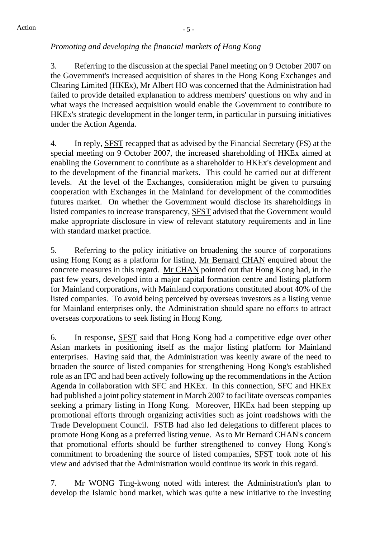# *Promoting and developing the financial markets of Hong Kong*

3. Referring to the discussion at the special Panel meeting on 9 October 2007 on the Government's increased acquisition of shares in the Hong Kong Exchanges and Clearing Limited (HKEx), Mr Albert HO was concerned that the Administration had failed to provide detailed explanation to address members' questions on why and in what ways the increased acquisition would enable the Government to contribute to HKEx's strategic development in the longer term, in particular in pursuing initiatives under the Action Agenda.

4. In reply, SFST recapped that as advised by the Financial Secretary (FS) at the special meeting on 9 October 2007, the increased shareholding of HKEx aimed at enabling the Government to contribute as a shareholder to HKEx's development and to the development of the financial markets. This could be carried out at different levels. At the level of the Exchanges, consideration might be given to pursuing cooperation with Exchanges in the Mainland for development of the commodities futures market. On whether the Government would disclose its shareholdings in listed companies to increase transparency, SFST advised that the Government would make appropriate disclosure in view of relevant statutory requirements and in line with standard market practice.

5. Referring to the policy initiative on broadening the source of corporations using Hong Kong as a platform for listing, Mr Bernard CHAN enquired about the concrete measures in this regard. Mr CHAN pointed out that Hong Kong had, in the past few years, developed into a major capital formation centre and listing platform for Mainland corporations, with Mainland corporations constituted about 40% of the listed companies. To avoid being perceived by overseas investors as a listing venue for Mainland enterprises only, the Administration should spare no efforts to attract overseas corporations to seek listing in Hong Kong.

6. In response, SFST said that Hong Kong had a competitive edge over other Asian markets in positioning itself as the major listing platform for Mainland enterprises. Having said that, the Administration was keenly aware of the need to broaden the source of listed companies for strengthening Hong Kong's established role as an IFC and had been actively following up the recommendations in the Action Agenda in collaboration with SFC and HKEx. In this connection, SFC and HKEx had published a joint policy statement in March 2007 to facilitate overseas companies seeking a primary listing in Hong Kong. Moreover, HKEx had been stepping up promotional efforts through organizing activities such as joint roadshows with the Trade Development Council. FSTB had also led delegations to different places to promote Hong Kong as a preferred listing venue. As to Mr Bernard CHAN's concern that promotional efforts should be further strengthened to convey Hong Kong's commitment to broadening the source of listed companies, SFST took note of his view and advised that the Administration would continue its work in this regard.

7. Mr WONG Ting-kwong noted with interest the Administration's plan to develop the Islamic bond market, which was quite a new initiative to the investing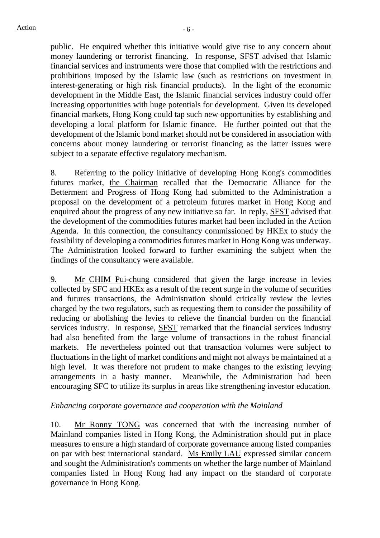public. He enquired whether this initiative would give rise to any concern about money laundering or terrorist financing. In response, SFST advised that Islamic financial services and instruments were those that complied with the restrictions and prohibitions imposed by the Islamic law (such as restrictions on investment in interest-generating or high risk financial products). In the light of the economic development in the Middle East, the Islamic financial services industry could offer increasing opportunities with huge potentials for development. Given its developed financial markets, Hong Kong could tap such new opportunities by establishing and developing a local platform for Islamic finance. He further pointed out that the development of the Islamic bond market should not be considered in association with concerns about money laundering or terrorist financing as the latter issues were subject to a separate effective regulatory mechanism.

8. Referring to the policy initiative of developing Hong Kong's commodities futures market, the Chairman recalled that the Democratic Alliance for the Betterment and Progress of Hong Kong had submitted to the Administration a proposal on the development of a petroleum futures market in Hong Kong and enquired about the progress of any new initiative so far. In reply, SFST advised that the development of the commodities futures market had been included in the Action Agenda. In this connection, the consultancy commissioned by HKEx to study the feasibility of developing a commodities futures market in Hong Kong was underway. The Administration looked forward to further examining the subject when the findings of the consultancy were available.

9. Mr CHIM Pui-chung considered that given the large increase in levies collected by SFC and HKEx as a result of the recent surge in the volume of securities and futures transactions, the Administration should critically review the levies charged by the two regulators, such as requesting them to consider the possibility of reducing or abolishing the levies to relieve the financial burden on the financial services industry. In response, SFST remarked that the financial services industry had also benefited from the large volume of transactions in the robust financial markets. He nevertheless pointed out that transaction volumes were subject to fluctuations in the light of market conditions and might not always be maintained at a high level. It was therefore not prudent to make changes to the existing levying arrangements in a hasty manner. Meanwhile, the Administration had been encouraging SFC to utilize its surplus in areas like strengthening investor education.

### *Enhancing corporate governance and cooperation with the Mainland*

10. Mr Ronny TONG was concerned that with the increasing number of Mainland companies listed in Hong Kong, the Administration should put in place measures to ensure a high standard of corporate governance among listed companies on par with best international standard. Ms Emily LAU expressed similar concern and sought the Administration's comments on whether the large number of Mainland companies listed in Hong Kong had any impact on the standard of corporate governance in Hong Kong.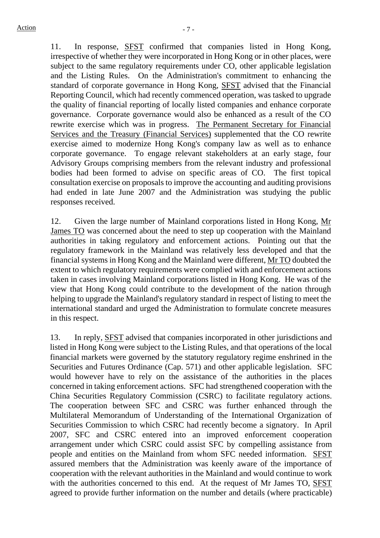11. In response, SFST confirmed that companies listed in Hong Kong, irrespective of whether they were incorporated in Hong Kong or in other places, were subject to the same regulatory requirements under CO, other applicable legislation and the Listing Rules. On the Administration's commitment to enhancing the standard of corporate governance in Hong Kong, SFST advised that the Financial Reporting Council, which had recently commenced operation, was tasked to upgrade the quality of financial reporting of locally listed companies and enhance corporate governance. Corporate governance would also be enhanced as a result of the CO rewrite exercise which was in progress. The Permanent Secretary for Financial Services and the Treasury (Financial Services) supplemented that the CO rewrite exercise aimed to modernize Hong Kong's company law as well as to enhance corporate governance. To engage relevant stakeholders at an early stage, four Advisory Groups comprising members from the relevant industry and professional bodies had been formed to advise on specific areas of CO. The first topical consultation exercise on proposals to improve the accounting and auditing provisions had ended in late June 2007 and the Administration was studying the public responses received.

12. Given the large number of Mainland corporations listed in Hong Kong, Mr James TO was concerned about the need to step up cooperation with the Mainland authorities in taking regulatory and enforcement actions. Pointing out that the regulatory framework in the Mainland was relatively less developed and that the financial systems in Hong Kong and the Mainland were different, Mr TO doubted the extent to which regulatory requirements were complied with and enforcement actions taken in cases involving Mainland corporations listed in Hong Kong. He was of the view that Hong Kong could contribute to the development of the nation through helping to upgrade the Mainland's regulatory standard in respect of listing to meet the international standard and urged the Administration to formulate concrete measures in this respect.

13. In reply, SFST advised that companies incorporated in other jurisdictions and listed in Hong Kong were subject to the Listing Rules, and that operations of the local financial markets were governed by the statutory regulatory regime enshrined in the Securities and Futures Ordinance (Cap. 571) and other applicable legislation. SFC would however have to rely on the assistance of the authorities in the places concerned in taking enforcement actions. SFC had strengthened cooperation with the China Securities Regulatory Commission (CSRC) to facilitate regulatory actions. The cooperation between SFC and CSRC was further enhanced through the Multilateral Memorandum of Understanding of the International Organization of Securities Commission to which CSRC had recently become a signatory. In April 2007, SFC and CSRC entered into an improved enforcement cooperation arrangement under which CSRC could assist SFC by compelling assistance from people and entities on the Mainland from whom SFC needed information. SFST assured members that the Administration was keenly aware of the importance of cooperation with the relevant authorities in the Mainland and would continue to work with the authorities concerned to this end. At the request of Mr James TO, SFST agreed to provide further information on the number and details (where practicable)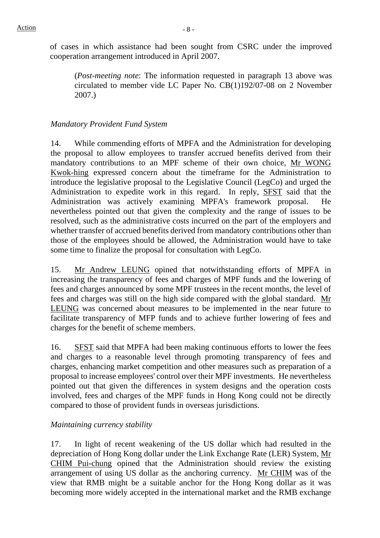of cases in which assistance had been sought from CSRC under the improved cooperation arrangement introduced in April 2007.

(*Post-meeting note*: The information requested in paragraph 13 above was circulated to member vide LC Paper No. CB(1)192/07-08 on 2 November 2007.)

# *Mandatory Provident Fund System*

14. While commending efforts of MPFA and the Administration for developing the proposal to allow employees to transfer accrued benefits derived from their mandatory contributions to an MPF scheme of their own choice, Mr WONG Kwok-hing expressed concern about the timeframe for the Administration to introduce the legislative proposal to the Legislative Council (LegCo) and urged the Administration to expedite work in this regard. In reply, SFST said that the Administration was actively examining MPFA's framework proposal. He nevertheless pointed out that given the complexity and the range of issues to be resolved, such as the administrative costs incurred on the part of the employers and whether transfer of accrued benefits derived from mandatory contributions other than those of the employees should be allowed, the Administration would have to take some time to finalize the proposal for consultation with LegCo.

15. Mr Andrew LEUNG opined that notwithstanding efforts of MPFA in increasing the transparency of fees and charges of MPF funds and the lowering of fees and charges announced by some MPF trustees in the recent months, the level of fees and charges was still on the high side compared with the global standard. Mr LEUNG was concerned about measures to be implemented in the near future to facilitate transparency of MFP funds and to achieve further lowering of fees and charges for the benefit of scheme members.

16. SFST said that MPFA had been making continuous efforts to lower the fees and charges to a reasonable level through promoting transparency of fees and charges, enhancing market competition and other measures such as preparation of a proposal to increase employees' control over their MPF investments. He nevertheless pointed out that given the differences in system designs and the operation costs involved, fees and charges of the MPF funds in Hong Kong could not be directly compared to those of provident funds in overseas jurisdictions.

### *Maintaining currency stability*

17. In light of recent weakening of the US dollar which had resulted in the depreciation of Hong Kong dollar under the Link Exchange Rate (LER) System, Mr CHIM Pui-chung opined that the Administration should review the existing arrangement of using US dollar as the anchoring currency. Mr CHIM was of the view that RMB might be a suitable anchor for the Hong Kong dollar as it was becoming more widely accepted in the international market and the RMB exchange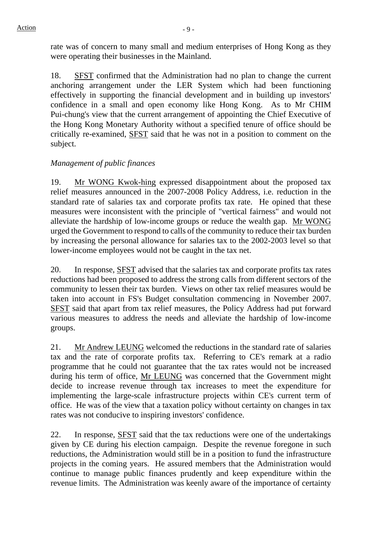rate was of concern to many small and medium enterprises of Hong Kong as they were operating their businesses in the Mainland.

18. SFST confirmed that the Administration had no plan to change the current anchoring arrangement under the LER System which had been functioning effectively in supporting the financial development and in building up investors' confidence in a small and open economy like Hong Kong. As to Mr CHIM Pui-chung's view that the current arrangement of appointing the Chief Executive of the Hong Kong Monetary Authority without a specified tenure of office should be critically re-examined, SFST said that he was not in a position to comment on the subject.

# *Management of public finances*

19. Mr WONG Kwok-hing expressed disappointment about the proposed tax relief measures announced in the 2007-2008 Policy Address, i.e. reduction in the standard rate of salaries tax and corporate profits tax rate. He opined that these measures were inconsistent with the principle of "vertical fairness" and would not alleviate the hardship of low-income groups or reduce the wealth gap. Mr WONG urged the Government to respond to calls of the community to reduce their tax burden by increasing the personal allowance for salaries tax to the 2002-2003 level so that lower-income employees would not be caught in the tax net.

20. In response, SFST advised that the salaries tax and corporate profits tax rates reductions had been proposed to address the strong calls from different sectors of the community to lessen their tax burden. Views on other tax relief measures would be taken into account in FS's Budget consultation commencing in November 2007. SFST said that apart from tax relief measures, the Policy Address had put forward various measures to address the needs and alleviate the hardship of low-income groups.

21. Mr Andrew LEUNG welcomed the reductions in the standard rate of salaries tax and the rate of corporate profits tax. Referring to CE's remark at a radio programme that he could not guarantee that the tax rates would not be increased during his term of office, Mr LEUNG was concerned that the Government might decide to increase revenue through tax increases to meet the expenditure for implementing the large-scale infrastructure projects within CE's current term of office. He was of the view that a taxation policy without certainty on changes in tax rates was not conducive to inspiring investors' confidence.

22. In response, SFST said that the tax reductions were one of the undertakings given by CE during his election campaign. Despite the revenue foregone in such reductions, the Administration would still be in a position to fund the infrastructure projects in the coming years. He assured members that the Administration would continue to manage public finances prudently and keep expenditure within the revenue limits. The Administration was keenly aware of the importance of certainty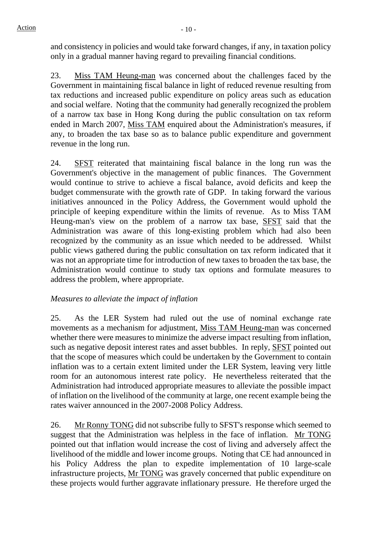and consistency in policies and would take forward changes, if any, in taxation policy only in a gradual manner having regard to prevailing financial conditions.

23. Miss TAM Heung-man was concerned about the challenges faced by the Government in maintaining fiscal balance in light of reduced revenue resulting from tax reductions and increased public expenditure on policy areas such as education and social welfare. Noting that the community had generally recognized the problem of a narrow tax base in Hong Kong during the public consultation on tax reform ended in March 2007, Miss TAM enquired about the Administration's measures, if any, to broaden the tax base so as to balance public expenditure and government revenue in the long run.

24. SFST reiterated that maintaining fiscal balance in the long run was the Government's objective in the management of public finances. The Government would continue to strive to achieve a fiscal balance, avoid deficits and keep the budget commensurate with the growth rate of GDP. In taking forward the various initiatives announced in the Policy Address, the Government would uphold the principle of keeping expenditure within the limits of revenue. As to Miss TAM Heung-man's view on the problem of a narrow tax base, SFST said that the Administration was aware of this long-existing problem which had also been recognized by the community as an issue which needed to be addressed. Whilst public views gathered during the public consultation on tax reform indicated that it was not an appropriate time for introduction of new taxes to broaden the tax base, the Administration would continue to study tax options and formulate measures to address the problem, where appropriate.

# *Measures to alleviate the impact of inflation*

25. As the LER System had ruled out the use of nominal exchange rate movements as a mechanism for adjustment, Miss TAM Heung-man was concerned whether there were measures to minimize the adverse impact resulting from inflation, such as negative deposit interest rates and asset bubbles. In reply, SFST pointed out that the scope of measures which could be undertaken by the Government to contain inflation was to a certain extent limited under the LER System, leaving very little room for an autonomous interest rate policy. He nevertheless reiterated that the Administration had introduced appropriate measures to alleviate the possible impact of inflation on the livelihood of the community at large, one recent example being the rates waiver announced in the 2007-2008 Policy Address.

26. Mr Ronny TONG did not subscribe fully to SFST's response which seemed to suggest that the Administration was helpless in the face of inflation. Mr TONG pointed out that inflation would increase the cost of living and adversely affect the livelihood of the middle and lower income groups. Noting that CE had announced in his Policy Address the plan to expedite implementation of 10 large-scale infrastructure projects, Mr TONG was gravely concerned that public expenditure on these projects would further aggravate inflationary pressure. He therefore urged the